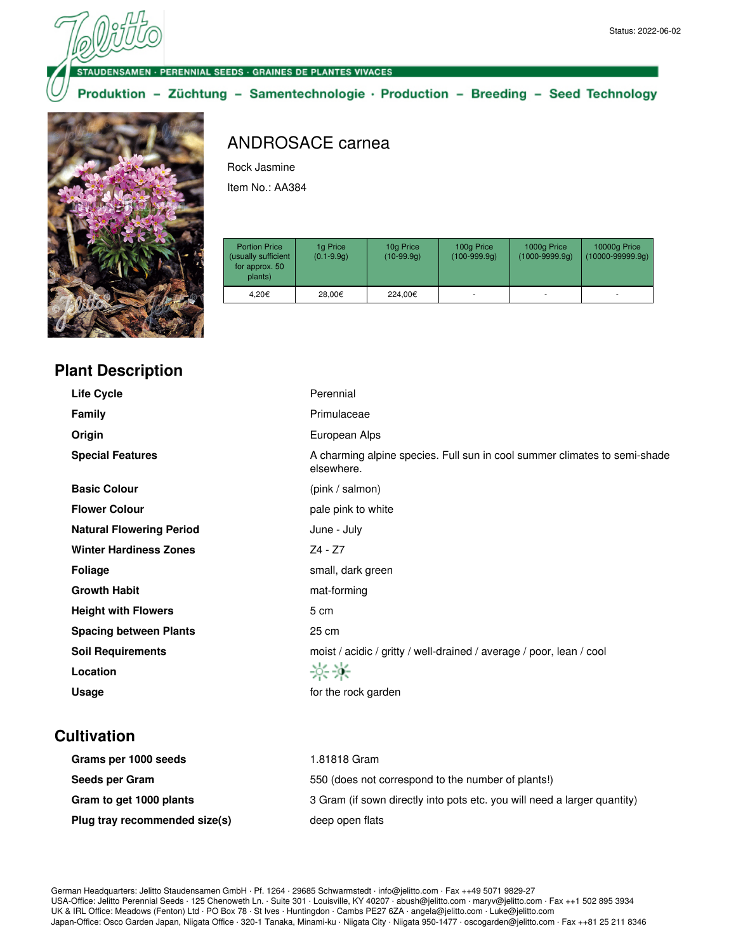DENSAMEN - PERENNIAL SEEDS - GRAINES DE PLANTES VIVACES

Produktion - Züchtung - Samentechnologie · Production - Breeding - Seed Technology



# ANDROSACE carnea

Rock Jasmine

Item No.: AA384

| <b>Portion Price</b><br>(usually sufficient<br>for approx. 50<br>plants) | 1g Price<br>$(0.1 - 9.9q)$ | 10g Price<br>$(10-99.9q)$ | 100g Price<br>$(100-999.9q)$ | 1000g Price<br>$(1000 - 9999.9q)$ | 10000g Price<br>$(10000 - 99999.9q)$ |
|--------------------------------------------------------------------------|----------------------------|---------------------------|------------------------------|-----------------------------------|--------------------------------------|
| 4.20€                                                                    | 28.00€                     | 224.00€                   |                              |                                   |                                      |

| <b>Plant Description</b> |  |
|--------------------------|--|
|--------------------------|--|

| <b>Life Cycle</b>               | Perennial                                                                               |
|---------------------------------|-----------------------------------------------------------------------------------------|
| <b>Family</b>                   | Primulaceae                                                                             |
| Origin                          | European Alps                                                                           |
| <b>Special Features</b>         | A charming alpine species. Full sun in cool summer climates to semi-shade<br>elsewhere. |
| <b>Basic Colour</b>             | (pink / salmon)                                                                         |
| <b>Flower Colour</b>            | pale pink to white                                                                      |
| <b>Natural Flowering Period</b> | June - July                                                                             |
| <b>Winter Hardiness Zones</b>   | Z4 - Z7                                                                                 |
| <b>Foliage</b>                  | small, dark green                                                                       |
| <b>Growth Habit</b>             | mat-forming                                                                             |
| <b>Height with Flowers</b>      | 5 cm                                                                                    |
| <b>Spacing between Plants</b>   | 25 cm                                                                                   |
| <b>Soil Requirements</b>        | moist / acidic / gritty / well-drained / average / poor, lean / cool                    |
| Location                        | 兴米                                                                                      |
| Usage                           | for the rock garden                                                                     |
|                                 |                                                                                         |

## **Cultivation**

| Grams per 1000 seeds          | 1.81818 Gram                                                             |
|-------------------------------|--------------------------------------------------------------------------|
| Seeds per Gram                | 550 (does not correspond to the number of plants!)                       |
| Gram to get 1000 plants       | 3 Gram (if sown directly into pots etc. you will need a larger quantity) |
| Plug tray recommended size(s) | deep open flats                                                          |